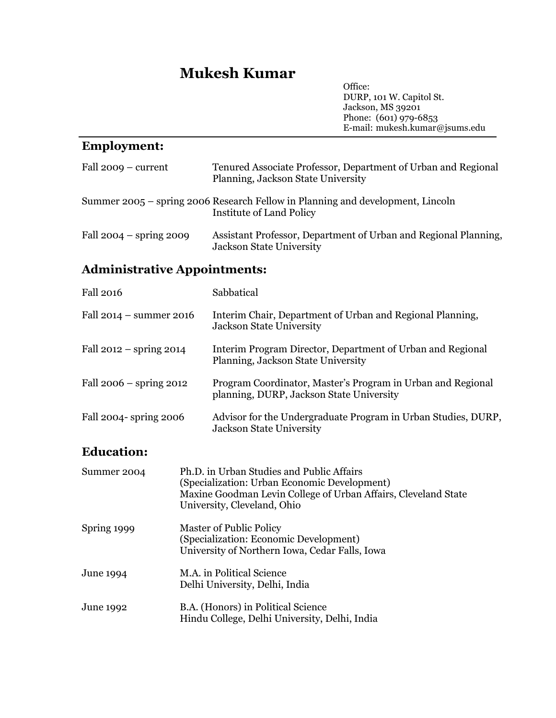# **Mukesh Kumar**

Office: DURP, 101 W. Capitol St. Jackson, MS 39201 Phone: (601) 979-6853 E-mail: mukesh.kumar@jsums.edu

# **Employment:**

| Fall $2009 - current$               |                                                                                                                                                                                            | Tenured Associate Professor, Department of Urban and Regional<br>Planning, Jackson State University               |
|-------------------------------------|--------------------------------------------------------------------------------------------------------------------------------------------------------------------------------------------|-------------------------------------------------------------------------------------------------------------------|
|                                     |                                                                                                                                                                                            | Summer 2005 – spring 2006 Research Fellow in Planning and development, Lincoln<br><b>Institute of Land Policy</b> |
| Fall $2004 -$ spring $2009$         |                                                                                                                                                                                            | Assistant Professor, Department of Urban and Regional Planning,<br><b>Jackson State University</b>                |
| <b>Administrative Appointments:</b> |                                                                                                                                                                                            |                                                                                                                   |
| <b>Fall 2016</b>                    |                                                                                                                                                                                            | Sabbatical                                                                                                        |
| Fall $2014$ – summer 2016           |                                                                                                                                                                                            | Interim Chair, Department of Urban and Regional Planning,<br><b>Jackson State University</b>                      |
| Fall $2012 -$ spring $2014$         |                                                                                                                                                                                            | Interim Program Director, Department of Urban and Regional<br>Planning, Jackson State University                  |
| Fall $2006 -$ spring $2012$         |                                                                                                                                                                                            | Program Coordinator, Master's Program in Urban and Regional<br>planning, DURP, Jackson State University           |
| Fall 2004- spring 2006              |                                                                                                                                                                                            | Advisor for the Undergraduate Program in Urban Studies, DURP,<br><b>Jackson State University</b>                  |
| <b>Education:</b>                   |                                                                                                                                                                                            |                                                                                                                   |
| Summer 2004                         | Ph.D. in Urban Studies and Public Affairs<br>(Specialization: Urban Economic Development)<br>Maxine Goodman Levin College of Urban Affairs, Cleveland State<br>University, Cleveland, Ohio |                                                                                                                   |
| Spring 1999                         | Master of Public Policy<br>(Specialization: Economic Development)<br>University of Northern Iowa, Cedar Falls, Iowa                                                                        |                                                                                                                   |
| June 1994                           | M.A. in Political Science<br>Delhi University, Delhi, India                                                                                                                                |                                                                                                                   |
| June 1992                           | B.A. (Honors) in Political Science<br>Hindu College, Delhi University, Delhi, India                                                                                                        |                                                                                                                   |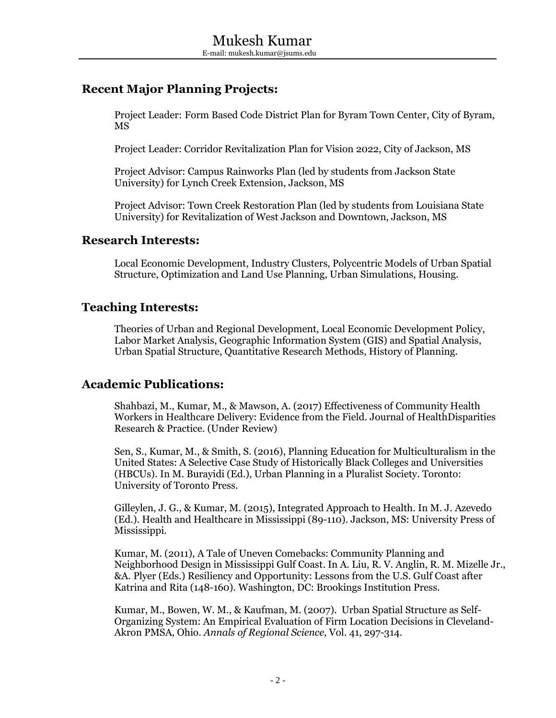# **Recent Major Planning Projects:**

Project Leader: Form Based Code District Plan for Byram Town Center, City of Byram, MS

Project Leader: Corridor Revitalization Plan for Vision 2022, City of Jackson, MS

Project Advisor: Campus Rainworks Plan (led by students from Jackson State University) for Lynch Creek Extension, Jackson, MS

Project Advisor: Town Creek Restoration Plan (led by students from Louisiana State University) for Revitalization of West Jackson and Downtown, Jackson, MS

#### **Research Interests:**

Local Economic Development, Industry Clusters, Polycentric Models of Urban Spatial Structure, Optimization and Land Use Planning, Urban Simulations, Housing.

### **Teaching Interests:**

Theories of Urban and Regional Development, Local Economic Development Policy, Labor Market Analysis, Geographic Information System (GIS) and Spatial Analysis, Urban Spatial Structure, Quantitative Research Methods, History of Planning.

## **Academic Publications:**

Shahbazi, M., Kumar, M., & Mawson, A. (2017) Effectiveness of Community Health Workers in Healthcare Delivery: Evidence from the Field. Journal of HealthDisparities Research & Practice. (Under Review)

Sen, S., Kumar, M., & Smith, S. (2016), Planning Education for Multiculturalism in the United States: A Selective Case Study of Historically Black Colleges and Universities (HBCUs). In M. Burayidi (Ed.), Urban Planning in a Pluralist Society. Toronto: University of Toronto Press.

Gilleylen, J. G., & Kumar, M. (2015), Integrated Approach to Health. In M. J. Azevedo (Ed.). Health and Healthcare in Mississippi (89-110). Jackson, MS: University Press of Mississippi.

Kumar, M. (2011), A Tale of Uneven Comebacks: Community Planning and Neighborhood Design in Mississippi Gulf Coast. In A. Liu, R. V. Anglin, R. M. Mizelle Jr., &A. Plyer (Eds.) Resiliency and Opportunity: Lessons from the U.S. Gulf Coast after Katrina and Rita (148-160). Washington, DC: Brookings Institution Press.

Kumar, M., Bowen, W. M., & Kaufman, M. (2007). Urban Spatial Structure as Self-Organizing System: An Empirical Evaluation of Firm Location Decisions in Cleveland-Akron PMSA, Ohio. *Annals of Regional Science,* Vol. 41, 297-314.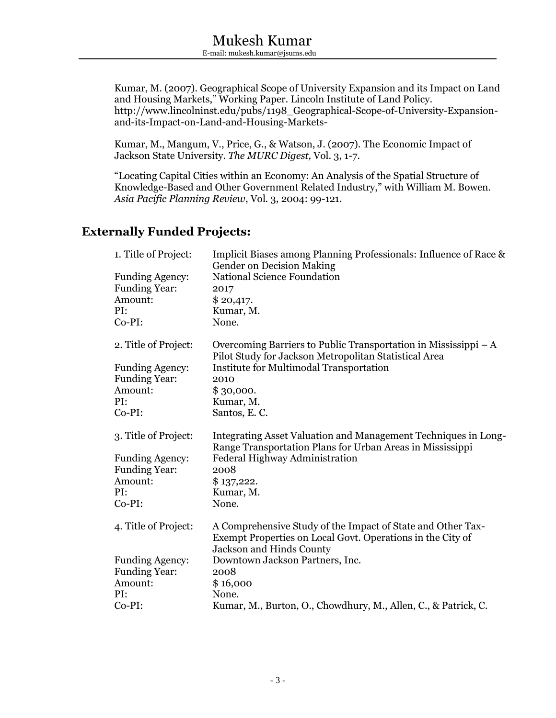Kumar, M. (2007). Geographical Scope of University Expansion and its Impact on Land and Housing Markets," Working Paper. Lincoln Institute of Land Policy. http://www.lincolninst.edu/pubs/1198\_Geographical-Scope-of-University-Expansionand-its-Impact-on-Land-and-Housing-Markets-

Kumar, M., Mangum, V., Price, G., & Watson, J. (2007). The Economic Impact of Jackson State University. *The MURC Digest,* Vol. 3, 1-7.

"Locating Capital Cities within an Economy: An Analysis of the Spatial Structure of Knowledge-Based and Other Government Related Industry," with William M. Bowen. *Asia Pacific Planning Review*, Vol. 3, 2004: 99-121.

## **Externally Funded Projects:**

| 1. Title of Project:   | Implicit Biases among Planning Professionals: Influence of Race &<br><b>Gender on Decision Making</b>                                                        |
|------------------------|--------------------------------------------------------------------------------------------------------------------------------------------------------------|
| <b>Funding Agency:</b> | <b>National Science Foundation</b>                                                                                                                           |
| <b>Funding Year:</b>   | 2017                                                                                                                                                         |
| Amount:                | \$20,417.                                                                                                                                                    |
| PI:                    | Kumar, M.                                                                                                                                                    |
| Co-PI:                 | None.                                                                                                                                                        |
| 2. Title of Project:   | Overcoming Barriers to Public Transportation in Mississippi $-A$<br>Pilot Study for Jackson Metropolitan Statistical Area                                    |
| <b>Funding Agency:</b> | <b>Institute for Multimodal Transportation</b>                                                                                                               |
| <b>Funding Year:</b>   | 2010                                                                                                                                                         |
| Amount:                | \$30,000.                                                                                                                                                    |
| PI:                    | Kumar, M.                                                                                                                                                    |
| Co-PI:                 | Santos, E.C.                                                                                                                                                 |
| 3. Title of Project:   | Integrating Asset Valuation and Management Techniques in Long-<br>Range Transportation Plans for Urban Areas in Mississippi                                  |
| <b>Funding Agency:</b> | Federal Highway Administration                                                                                                                               |
| <b>Funding Year:</b>   | 2008                                                                                                                                                         |
| Amount:                | \$137,222.                                                                                                                                                   |
| PI:                    | Kumar, M.                                                                                                                                                    |
| Co-PI:                 | None.                                                                                                                                                        |
| 4. Title of Project:   | A Comprehensive Study of the Impact of State and Other Tax-<br>Exempt Properties on Local Govt. Operations in the City of<br><b>Jackson and Hinds County</b> |
| <b>Funding Agency:</b> | Downtown Jackson Partners, Inc.                                                                                                                              |
| <b>Funding Year:</b>   | 2008                                                                                                                                                         |
| Amount:                | \$16,000                                                                                                                                                     |
| PI:                    | None.                                                                                                                                                        |
| Co-PI:                 | Kumar, M., Burton, O., Chowdhury, M., Allen, C., & Patrick, C.                                                                                               |
|                        |                                                                                                                                                              |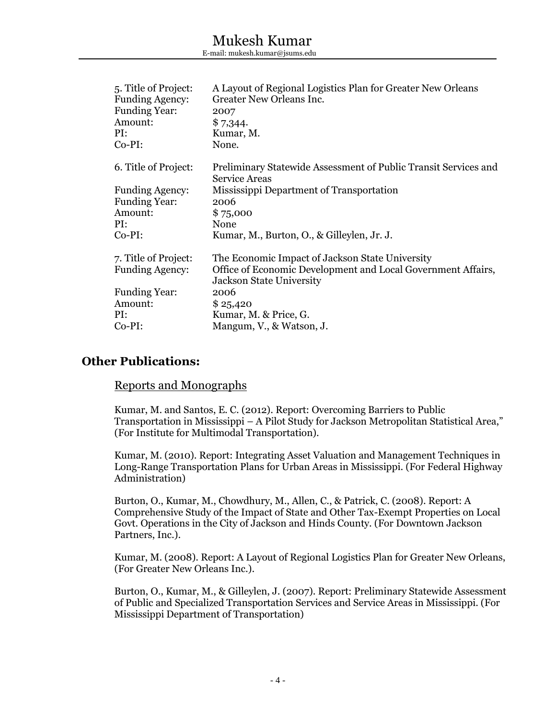| 5. Title of Project:<br><b>Funding Agency:</b><br><b>Funding Year:</b><br>Amount:<br>PI:<br>$Co-PI:$ | A Layout of Regional Logistics Plan for Greater New Orleans<br>Greater New Orleans Inc.<br>2007<br>\$7,344.<br>Kumar, M.<br>None. |
|------------------------------------------------------------------------------------------------------|-----------------------------------------------------------------------------------------------------------------------------------|
| 6. Title of Project:                                                                                 | Preliminary Statewide Assessment of Public Transit Services and<br><b>Service Areas</b>                                           |
| <b>Funding Agency:</b>                                                                               | Mississippi Department of Transportation                                                                                          |
| <b>Funding Year:</b>                                                                                 | 2006                                                                                                                              |
| Amount:                                                                                              | \$75,000                                                                                                                          |
| PI:                                                                                                  | None                                                                                                                              |
| $Co-PI:$                                                                                             | Kumar, M., Burton, O., & Gilleylen, Jr. J.                                                                                        |
| 7. Title of Project:                                                                                 | The Economic Impact of Jackson State University                                                                                   |
| <b>Funding Agency:</b>                                                                               | Office of Economic Development and Local Government Affairs,<br>Jackson State University                                          |
| <b>Funding Year:</b>                                                                                 | 2006                                                                                                                              |
| Amount:                                                                                              | \$25,420                                                                                                                          |
| PI:                                                                                                  | Kumar, M. & Price, G.                                                                                                             |
| $Co-PI:$                                                                                             | Mangum, V., & Watson, J.                                                                                                          |
|                                                                                                      |                                                                                                                                   |

### **Other Publications:**

#### Reports and Monographs

Kumar, M. and Santos, E. C. (2012). Report: Overcoming Barriers to Public Transportation in Mississippi – A Pilot Study for Jackson Metropolitan Statistical Area," (For Institute for Multimodal Transportation).

Kumar, M. (2010). Report: Integrating Asset Valuation and Management Techniques in Long-Range Transportation Plans for Urban Areas in Mississippi. (For Federal Highway Administration)

Burton, O., Kumar, M., Chowdhury, M., Allen, C., & Patrick, C. (2008). Report: A Comprehensive Study of the Impact of State and Other Tax-Exempt Properties on Local Govt. Operations in the City of Jackson and Hinds County. (For Downtown Jackson Partners, Inc.).

Kumar, M. (2008). Report: A Layout of Regional Logistics Plan for Greater New Orleans, (For Greater New Orleans Inc.).

Burton, O., Kumar, M., & Gilleylen, J. (2007). Report: Preliminary Statewide Assessment of Public and Specialized Transportation Services and Service Areas in Mississippi. (For Mississippi Department of Transportation)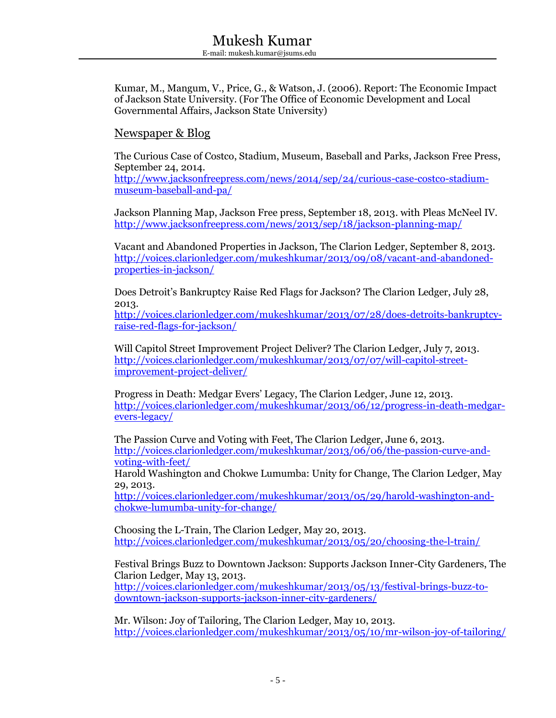Kumar, M., Mangum, V., Price, G., & Watson, J. (2006). Report: The Economic Impact of Jackson State University. (For The Office of Economic Development and Local Governmental Affairs, Jackson State University)

#### Newspaper & Blog

The Curious Case of Costco, Stadium, Museum, Baseball and Parks, Jackson Free Press, September 24, 2014.

[http://www.jacksonfreepress.com/news/2014/sep/24/curious-case-costco-stadium](http://www.jacksonfreepress.com/news/2014/sep/24/curious-case-costco-stadium-museum-baseball-and-pa/)[museum-baseball-and-pa/](http://www.jacksonfreepress.com/news/2014/sep/24/curious-case-costco-stadium-museum-baseball-and-pa/)

Jackson Planning Map, Jackson Free press, September 18, 2013. with Pleas McNeel IV. <http://www.jacksonfreepress.com/news/2013/sep/18/jackson-planning-map/>

Vacant and Abandoned Properties in Jackson, The Clarion Ledger, September 8, 2013. [http://voices.clarionledger.com/mukeshkumar/2013/09/08/vacant-and-abandoned](http://voices.clarionledger.com/mukeshkumar/2013/09/08/vacant-and-abandoned-properties-in-jackson/)[properties-in-jackson/](http://voices.clarionledger.com/mukeshkumar/2013/09/08/vacant-and-abandoned-properties-in-jackson/)

Does Detroit's Bankruptcy Raise Red Flags for Jackson? The Clarion Ledger, July 28, 2013.

[http://voices.clarionledger.com/mukeshkumar/2013/07/28/does-detroits-bankruptcy](http://voices.clarionledger.com/mukeshkumar/2013/07/28/does-detroits-bankruptcy-raise-red-flags-for-jackson/)[raise-red-flags-for-jackson/](http://voices.clarionledger.com/mukeshkumar/2013/07/28/does-detroits-bankruptcy-raise-red-flags-for-jackson/)

Will Capitol Street Improvement Project Deliver? The Clarion Ledger, July 7, 2013. [http://voices.clarionledger.com/mukeshkumar/2013/07/07/will-capitol-street](http://voices.clarionledger.com/mukeshkumar/2013/07/07/will-capitol-street-improvement-project-deliver/)[improvement-project-deliver/](http://voices.clarionledger.com/mukeshkumar/2013/07/07/will-capitol-street-improvement-project-deliver/)

Progress in Death: Medgar Evers' Legacy, The Clarion Ledger, June 12, 2013. [http://voices.clarionledger.com/mukeshkumar/2013/06/12/progress-in-death-medgar](http://voices.clarionledger.com/mukeshkumar/2013/06/12/progress-in-death-medgar-evers-legacy/)[evers-legacy/](http://voices.clarionledger.com/mukeshkumar/2013/06/12/progress-in-death-medgar-evers-legacy/)

The Passion Curve and Voting with Feet, The Clarion Ledger, June 6, 2013. [http://voices.clarionledger.com/mukeshkumar/2013/06/06/the-passion-curve-and](http://voices.clarionledger.com/mukeshkumar/2013/06/06/the-passion-curve-and-voting-with-feet/)[voting-with-feet/](http://voices.clarionledger.com/mukeshkumar/2013/06/06/the-passion-curve-and-voting-with-feet/)

Harold Washington and Chokwe Lumumba: Unity for Change, The Clarion Ledger, May 29, 2013.

[http://voices.clarionledger.com/mukeshkumar/2013/05/29/harold-washington-and](http://voices.clarionledger.com/mukeshkumar/2013/05/29/harold-washington-and-chokwe-lumumba-unity-for-change/)[chokwe-lumumba-unity-for-change/](http://voices.clarionledger.com/mukeshkumar/2013/05/29/harold-washington-and-chokwe-lumumba-unity-for-change/)

Choosing the L-Train, The Clarion Ledger, May 20, 2013. <http://voices.clarionledger.com/mukeshkumar/2013/05/20/choosing-the-l-train/>

Festival Brings Buzz to Downtown Jackson: Supports Jackson Inner-City Gardeners, The Clarion Ledger, May 13, 2013.

[http://voices.clarionledger.com/mukeshkumar/2013/05/13/festival-brings-buzz-to](http://voices.clarionledger.com/mukeshkumar/2013/05/13/festival-brings-buzz-to-downtown-jackson-supports-jackson-inner-city-gardeners/)[downtown-jackson-supports-jackson-inner-city-gardeners/](http://voices.clarionledger.com/mukeshkumar/2013/05/13/festival-brings-buzz-to-downtown-jackson-supports-jackson-inner-city-gardeners/)

Mr. Wilson: Joy of Tailoring, The Clarion Ledger, May 10, 2013. <http://voices.clarionledger.com/mukeshkumar/2013/05/10/mr-wilson-joy-of-tailoring/>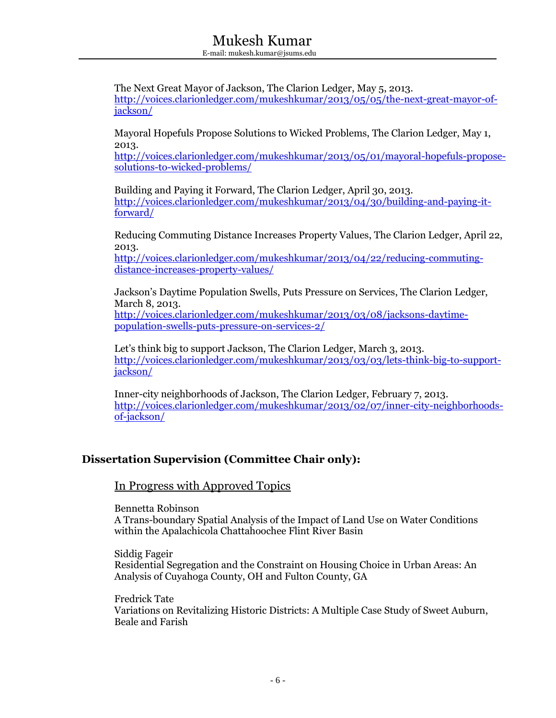The Next Great Mayor of Jackson, The Clarion Ledger, May 5, 2013. [http://voices.clarionledger.com/mukeshkumar/2013/05/05/the-next-great-mayor-of](http://voices.clarionledger.com/mukeshkumar/2013/05/05/the-next-great-mayor-of-jackson/)[jackson/](http://voices.clarionledger.com/mukeshkumar/2013/05/05/the-next-great-mayor-of-jackson/)

Mayoral Hopefuls Propose Solutions to Wicked Problems, The Clarion Ledger, May 1, 2013.

[http://voices.clarionledger.com/mukeshkumar/2013/05/01/mayoral-hopefuls-propose](http://voices.clarionledger.com/mukeshkumar/2013/05/01/mayoral-hopefuls-propose-solutions-to-wicked-problems/)[solutions-to-wicked-problems/](http://voices.clarionledger.com/mukeshkumar/2013/05/01/mayoral-hopefuls-propose-solutions-to-wicked-problems/)

Building and Paying it Forward, The Clarion Ledger, April 30, 2013. [http://voices.clarionledger.com/mukeshkumar/2013/04/30/building-and-paying-it](http://voices.clarionledger.com/mukeshkumar/2013/04/30/building-and-paying-it-forward/)[forward/](http://voices.clarionledger.com/mukeshkumar/2013/04/30/building-and-paying-it-forward/)

Reducing Commuting Distance Increases Property Values, The Clarion Ledger, April 22, 2013.

[http://voices.clarionledger.com/mukeshkumar/2013/04/22/reducing-commuting](http://voices.clarionledger.com/mukeshkumar/2013/04/22/reducing-commuting-distance-increases-property-values/)[distance-increases-property-values/](http://voices.clarionledger.com/mukeshkumar/2013/04/22/reducing-commuting-distance-increases-property-values/)

Jackson's Daytime Population Swells, Puts Pressure on Services, The Clarion Ledger, March 8, 2013. [http://voices.clarionledger.com/mukeshkumar/2013/03/08/jacksons-daytime](http://voices.clarionledger.com/mukeshkumar/2013/03/08/jacksons-daytime-population-swells-puts-pressure-on-services-2/)[population-swells-puts-pressure-on-services-2/](http://voices.clarionledger.com/mukeshkumar/2013/03/08/jacksons-daytime-population-swells-puts-pressure-on-services-2/)

Let's think big to support Jackson, The Clarion Ledger, March 3, 2013. [http://voices.clarionledger.com/mukeshkumar/2013/03/03/lets-think-big-to-support](http://voices.clarionledger.com/mukeshkumar/2013/03/03/lets-think-big-to-support-jackson/)[jackson/](http://voices.clarionledger.com/mukeshkumar/2013/03/03/lets-think-big-to-support-jackson/)

Inner-city neighborhoods of Jackson, The Clarion Ledger, February 7, 2013. [http://voices.clarionledger.com/mukeshkumar/2013/02/07/inner-city-neighborhoods](http://voices.clarionledger.com/mukeshkumar/2013/02/07/inner-city-neighborhoods-of-jackson/)[of-jackson/](http://voices.clarionledger.com/mukeshkumar/2013/02/07/inner-city-neighborhoods-of-jackson/)

### **Dissertation Supervision (Committee Chair only):**

#### In Progress with Approved Topics

Bennetta Robinson A Trans-boundary Spatial Analysis of the Impact of Land Use on Water Conditions within the Apalachicola Chattahoochee Flint River Basin

Siddig Fageir Residential Segregation and the Constraint on Housing Choice in Urban Areas: An Analysis of Cuyahoga County, OH and Fulton County, GA

Fredrick Tate Variations on Revitalizing Historic Districts: A Multiple Case Study of Sweet Auburn, Beale and Farish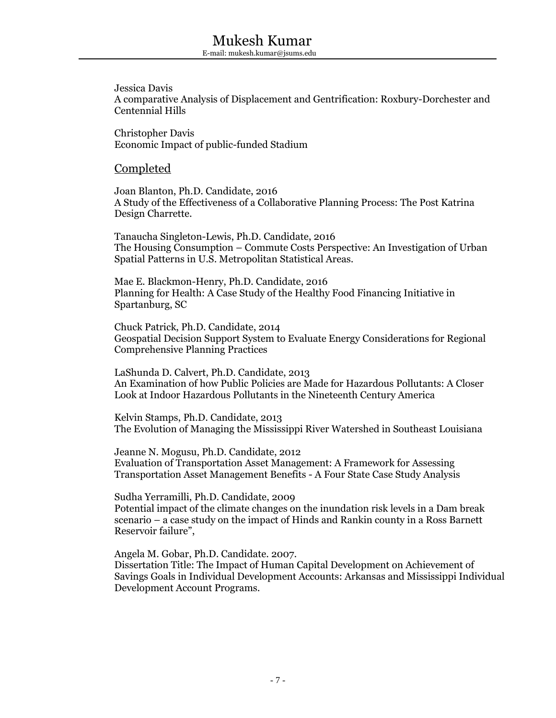Jessica Davis A comparative Analysis of Displacement and Gentrification: Roxbury-Dorchester and Centennial Hills

Christopher Davis Economic Impact of public-funded Stadium

#### Completed

Joan Blanton, Ph.D. Candidate, 2016 A Study of the Effectiveness of a Collaborative Planning Process: The Post Katrina Design Charrette.

Tanaucha Singleton-Lewis, Ph.D. Candidate, 2016 The Housing Consumption – Commute Costs Perspective: An Investigation of Urban Spatial Patterns in U.S. Metropolitan Statistical Areas.

Mae E. Blackmon-Henry, Ph.D. Candidate, 2016 Planning for Health: A Case Study of the Healthy Food Financing Initiative in Spartanburg, SC

Chuck Patrick, Ph.D. Candidate, 2014 Geospatial Decision Support System to Evaluate Energy Considerations for Regional Comprehensive Planning Practices

LaShunda D. Calvert, Ph.D. Candidate, 2013 An Examination of how Public Policies are Made for Hazardous Pollutants: A Closer Look at Indoor Hazardous Pollutants in the Nineteenth Century America

Kelvin Stamps, Ph.D. Candidate, 2013 The Evolution of Managing the Mississippi River Watershed in Southeast Louisiana

Jeanne N. Mogusu, Ph.D. Candidate, 2012 Evaluation of Transportation Asset Management: A Framework for Assessing Transportation Asset Management Benefits - A Four State Case Study Analysis

Sudha Yerramilli, Ph.D. Candidate, 2009 Potential impact of the climate changes on the inundation risk levels in a Dam break scenario – a case study on the impact of Hinds and Rankin county in a Ross Barnett Reservoir failure",

Angela M. Gobar, Ph.D. Candidate. 2007. Dissertation Title: The Impact of Human Capital Development on Achievement of Savings Goals in Individual Development Accounts: Arkansas and Mississippi Individual Development Account Programs.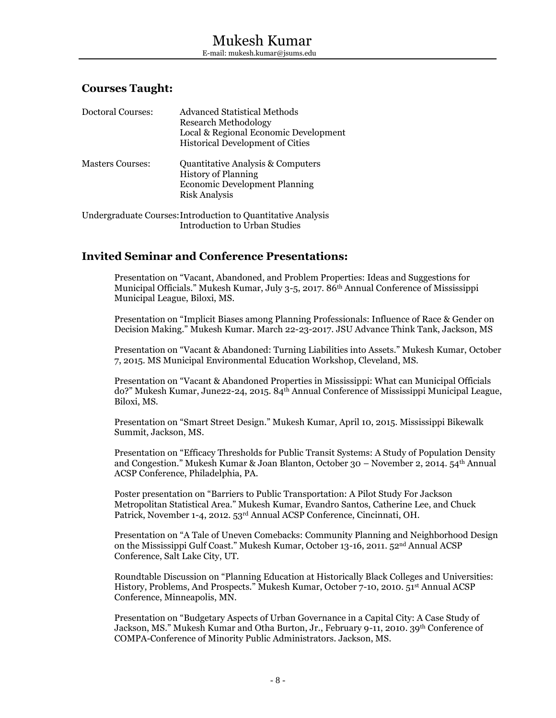#### **Courses Taught:**

| <b>Doctoral Courses:</b> | Advanced Statistical Methods<br><b>Research Methodology</b><br>Local & Regional Economic Development<br><b>Historical Development of Cities</b>                                                                                   |
|--------------------------|-----------------------------------------------------------------------------------------------------------------------------------------------------------------------------------------------------------------------------------|
| <b>Masters Courses:</b>  | <b>Quantitative Analysis &amp; Computers</b><br><b>History of Planning</b><br><b>Economic Development Planning</b><br>Risk Analysis                                                                                               |
|                          | The decoder description of the contraction of $\alpha$ . An estimate of the decoder of the decoder of the decoder of the decoder of the decoder of the decoder of the decoder of the decoder of the decoder of the decoder of the |

Undergraduate Courses:Introduction to Quantitative Analysis Introduction to Urban Studies

#### **Invited Seminar and Conference Presentations:**

Presentation on "Vacant, Abandoned, and Problem Properties: Ideas and Suggestions for Municipal Officials." Mukesh Kumar, July 3-5, 2017. 86th Annual Conference of Mississippi Municipal League, Biloxi, MS.

Presentation on "Implicit Biases among Planning Professionals: Influence of Race & Gender on Decision Making." Mukesh Kumar. March 22-23-2017. JSU Advance Think Tank, Jackson, MS

Presentation on "Vacant & Abandoned: Turning Liabilities into Assets." Mukesh Kumar, October 7, 2015. MS Municipal Environmental Education Workshop, Cleveland, MS.

Presentation on "Vacant & Abandoned Properties in Mississippi: What can Municipal Officials do?" Mukesh Kumar, June22-24, 2015. 84th Annual Conference of Mississippi Municipal League, Biloxi, MS.

Presentation on "Smart Street Design." Mukesh Kumar, April 10, 2015. Mississippi Bikewalk Summit, Jackson, MS.

Presentation on "Efficacy Thresholds for Public Transit Systems: A Study of Population Density and Congestion." Mukesh Kumar & Joan Blanton, October 30 – November 2, 2014. 54th Annual ACSP Conference, Philadelphia, PA.

Poster presentation on "Barriers to Public Transportation: A Pilot Study For Jackson Metropolitan Statistical Area." Mukesh Kumar, Evandro Santos, Catherine Lee, and Chuck Patrick, November 1-4, 2012. 53rd Annual ACSP Conference, Cincinnati, OH.

Presentation on "A Tale of Uneven Comebacks: Community Planning and Neighborhood Design on the Mississippi Gulf Coast." Mukesh Kumar, October 13-16, 2011. 52nd Annual ACSP Conference, Salt Lake City, UT.

Roundtable Discussion on "Planning Education at Historically Black Colleges and Universities: History, Problems, And Prospects." Mukesh Kumar, October 7-10, 2010. 51st Annual ACSP Conference, Minneapolis, MN.

Presentation on "Budgetary Aspects of Urban Governance in a Capital City: A Case Study of Jackson, MS." Mukesh Kumar and Otha Burton, Jr., February 9-11, 2010. 39<sup>th</sup> Conference of COMPA-Conference of Minority Public Administrators. Jackson, MS.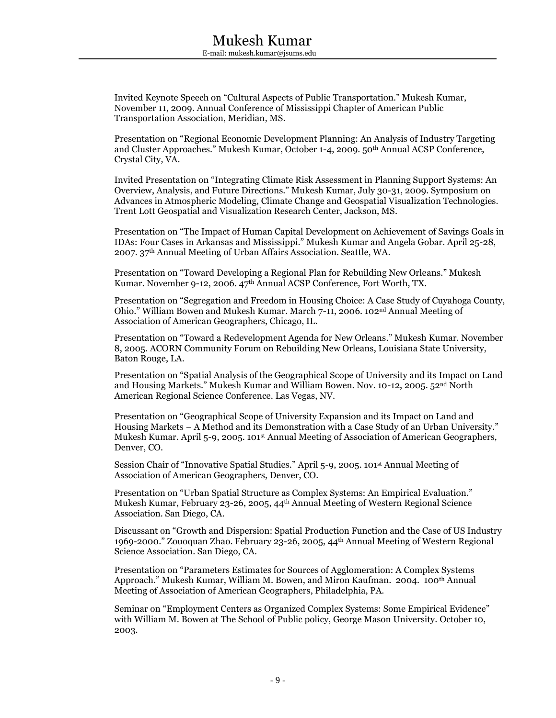Invited Keynote Speech on "Cultural Aspects of Public Transportation." Mukesh Kumar, November 11, 2009. Annual Conference of Mississippi Chapter of American Public Transportation Association, Meridian, MS.

Presentation on "Regional Economic Development Planning: An Analysis of Industry Targeting and Cluster Approaches." Mukesh Kumar, October 1-4, 2009. 50th Annual ACSP Conference, Crystal City, VA.

Invited Presentation on "Integrating Climate Risk Assessment in Planning Support Systems: An Overview, Analysis, and Future Directions." Mukesh Kumar, July 30-31, 2009. Symposium on Advances in Atmospheric Modeling, Climate Change and Geospatial Visualization Technologies. Trent Lott Geospatial and Visualization Research Center, Jackson, MS.

Presentation on "The Impact of Human Capital Development on Achievement of Savings Goals in IDAs: Four Cases in Arkansas and Mississippi." Mukesh Kumar and Angela Gobar. April 25-28, 2007. 37th Annual Meeting of Urban Affairs Association. Seattle, WA.

Presentation on "Toward Developing a Regional Plan for Rebuilding New Orleans." Mukesh Kumar. November 9-12, 2006. 47th Annual ACSP Conference, Fort Worth, TX.

Presentation on "Segregation and Freedom in Housing Choice: A Case Study of Cuyahoga County, Ohio." William Bowen and Mukesh Kumar. March 7-11, 2006. 102nd Annual Meeting of Association of American Geographers, Chicago, IL.

Presentation on "Toward a Redevelopment Agenda for New Orleans." Mukesh Kumar. November 8, 2005. ACORN Community Forum on Rebuilding New Orleans, Louisiana State University, Baton Rouge, LA.

Presentation on "Spatial Analysis of the Geographical Scope of University and its Impact on Land and Housing Markets." Mukesh Kumar and William Bowen. Nov. 10-12, 2005. 52nd North American Regional Science Conference. Las Vegas, NV.

Presentation on "Geographical Scope of University Expansion and its Impact on Land and Housing Markets – A Method and its Demonstration with a Case Study of an Urban University." Mukesh Kumar. April 5-9, 2005. 101st Annual Meeting of Association of American Geographers, Denver, CO.

Session Chair of "Innovative Spatial Studies." April 5-9, 2005. 101st Annual Meeting of Association of American Geographers, Denver, CO.

Presentation on "Urban Spatial Structure as Complex Systems: An Empirical Evaluation." Mukesh Kumar, February 23-26, 2005, 44th Annual Meeting of Western Regional Science Association. San Diego, CA.

Discussant on "Growth and Dispersion: Spatial Production Function and the Case of US Industry 1969-2000." Zouoquan Zhao. February 23-26, 2005, 44th Annual Meeting of Western Regional Science Association. San Diego, CA.

Presentation on "Parameters Estimates for Sources of Agglomeration: A Complex Systems Approach." Mukesh Kumar, William M. Bowen, and Miron Kaufman. 2004. 100th Annual Meeting of Association of American Geographers, Philadelphia, PA.

Seminar on "Employment Centers as Organized Complex Systems: Some Empirical Evidence" with William M. Bowen at The School of Public policy, George Mason University. October 10, 2003.